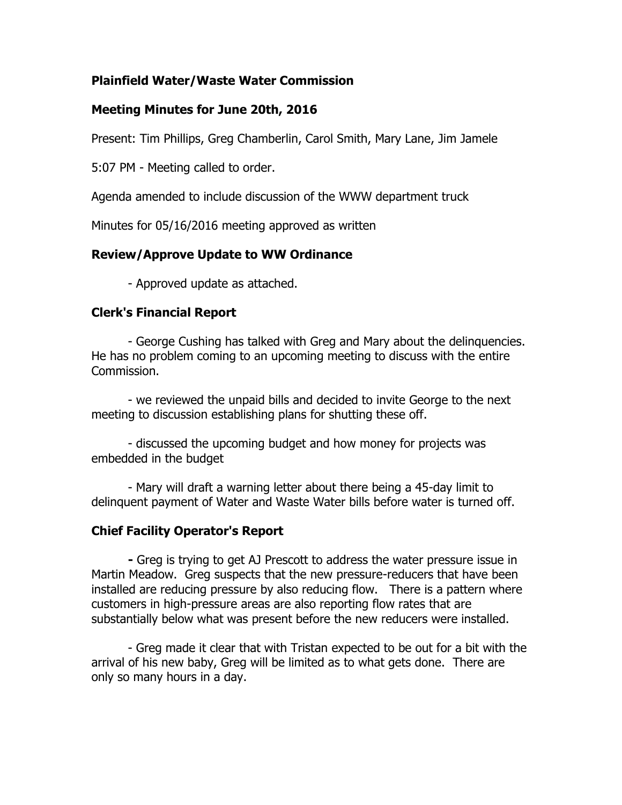### **Plainfield Water/Waste Water Commission**

### **Meeting Minutes for June 20th, 2016**

Present: Tim Phillips, Greg Chamberlin, Carol Smith, Mary Lane, Jim Jamele

5:07 PM - Meeting called to order.

Agenda amended to include discussion of the WWW department truck

Minutes for 05/16/2016 meeting approved as written

## **Review/Approve Update to WW Ordinance**

- Approved update as attached.

# **Clerk's Financial Report**

- George Cushing has talked with Greg and Mary about the delinquencies. He has no problem coming to an upcoming meeting to discuss with the entire Commission.

- we reviewed the unpaid bills and decided to invite George to the next meeting to discussion establishing plans for shutting these off.

- discussed the upcoming budget and how money for projects was embedded in the budget

- Mary will draft a warning letter about there being a 45-day limit to delinquent payment of Water and Waste Water bills before water is turned off.

## **Chief Facility Operator's Report**

**-** Greg is trying to get AJ Prescott to address the water pressure issue in Martin Meadow. Greg suspects that the new pressure-reducers that have been installed are reducing pressure by also reducing flow. There is a pattern where customers in high-pressure areas are also reporting flow rates that are substantially below what was present before the new reducers were installed.

- Greg made it clear that with Tristan expected to be out for a bit with the arrival of his new baby, Greg will be limited as to what gets done. There are only so many hours in a day.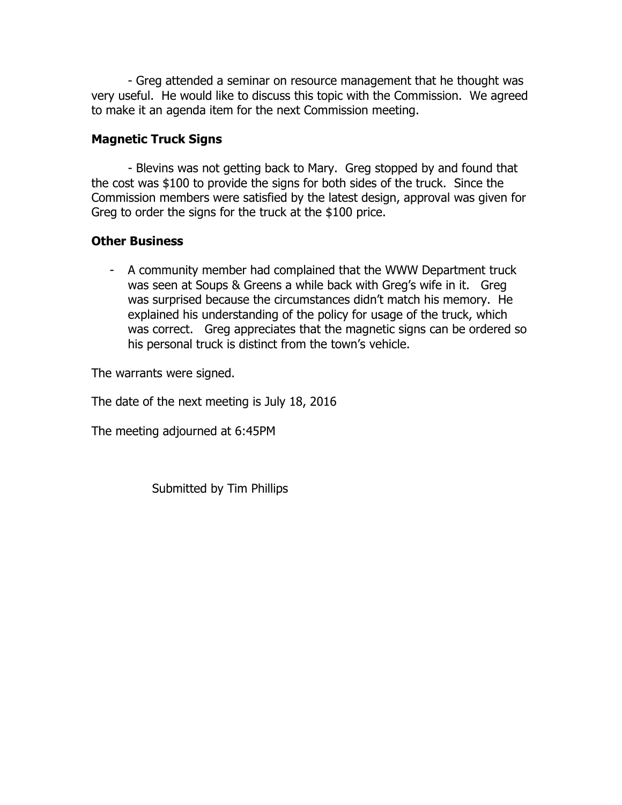- Greg attended a seminar on resource management that he thought was very useful. He would like to discuss this topic with the Commission. We agreed to make it an agenda item for the next Commission meeting.

### **Magnetic Truck Signs**

- Blevins was not getting back to Mary. Greg stopped by and found that the cost was \$100 to provide the signs for both sides of the truck. Since the Commission members were satisfied by the latest design, approval was given for Greg to order the signs for the truck at the \$100 price.

### **Other Business**

- A community member had complained that the WWW Department truck was seen at Soups & Greens a while back with Greg's wife in it. Greg was surprised because the circumstances didn't match his memory. He explained his understanding of the policy for usage of the truck, which was correct. Greg appreciates that the magnetic signs can be ordered so his personal truck is distinct from the town's vehicle.

The warrants were signed.

The date of the next meeting is July 18, 2016

The meeting adjourned at 6:45PM

Submitted by Tim Phillips